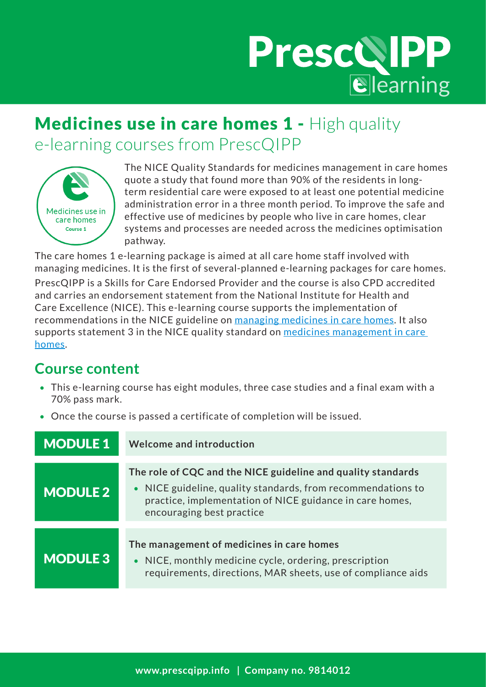# PrescQIPP

## Medicines use in care homes 1 - High quality e-learning courses from PrescQIPP



The NICE Quality Standards for medicines management in care homes quote a study that found more than 90% of the residents in longterm residential care were exposed to at least one potential medicine administration error in a three month period. To improve the safe and effective use of medicines by people who live in care homes, clear systems and processes are needed across the medicines optimisation pathway.

The care homes 1 e-learning package is aimed at all care home staff involved with managing medicines. It is the first of several-planned e-learning packages for care homes.

PrescQIPP is a Skills for Care Endorsed Provider and the course is also CPD accredited and carries an endorsement statement from the National Institute for Health and Care Excellence (NICE). This e-learning course supports the implementation of recommendations in the NICE guideline on [managing medicines in care homes.](https://www.nice.org.uk/guidance/sc1) It also supports statement 3 in the NICE quality standard on medicines management in care [homes.](https://www.nice.org.uk/guidance/qs85)

### **Course content**

- This e-learning course has eight modules, three case studies and a final exam with a 70% pass mark.
- Once the course is passed a certificate of completion will be issued.

| <b>MODULE 1</b> | <b>Welcome and introduction</b>                                                                                                                                                                                       |
|-----------------|-----------------------------------------------------------------------------------------------------------------------------------------------------------------------------------------------------------------------|
| <b>MODULE 2</b> | The role of CQC and the NICE guideline and quality standards<br>• NICE guideline, quality standards, from recommendations to<br>practice, implementation of NICE guidance in care homes,<br>encouraging best practice |
| <b>MODULE 3</b> | The management of medicines in care homes<br>• NICE, monthly medicine cycle, ordering, prescription<br>requirements, directions, MAR sheets, use of compliance aids                                                   |